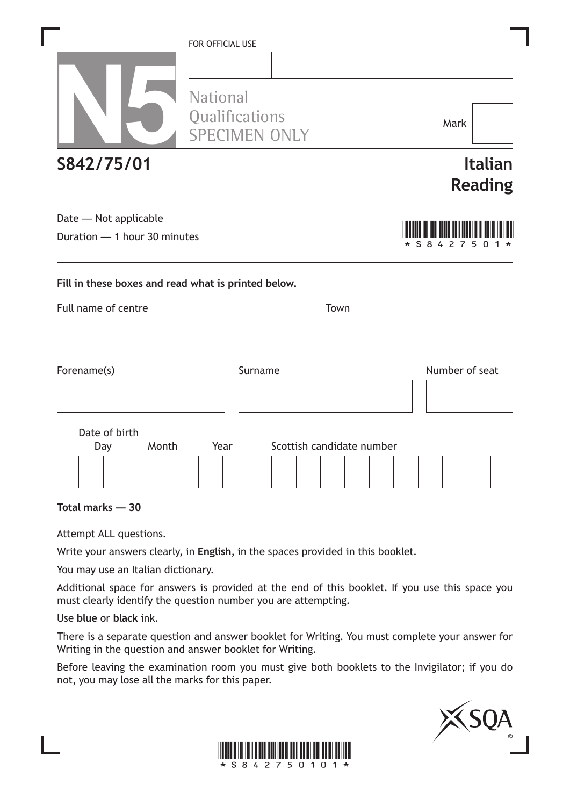|                              | <b>FOR OFFICIAL USE</b>                |                           |      |                       |                                  |
|------------------------------|----------------------------------------|---------------------------|------|-----------------------|----------------------------------|
|                              |                                        |                           |      |                       |                                  |
|                              | <b>National</b>                        |                           |      |                       |                                  |
|                              | Qualifications<br><b>SPECIMEN ONLY</b> |                           |      | Mark                  |                                  |
| S842/75/01                   |                                        |                           |      |                       | <b>Italian</b><br><b>Reading</b> |
| Date - Not applicable        |                                        |                           |      |                       |                                  |
| Duration - 1 hour 30 minutes |                                        |                           |      | s<br>8<br>4<br>2<br>7 | 5                                |
| Full name of centre          |                                        |                           | Town |                       |                                  |
| Forename(s)                  |                                        | Surname                   |      | Number of seat        |                                  |
|                              |                                        |                           |      |                       |                                  |
| Date of birth                |                                        |                           |      |                       |                                  |
| Month<br>Day                 | Year                                   | Scottish candidate number |      |                       |                                  |
|                              |                                        |                           |      |                       |                                  |
| Total marks - 30             |                                        |                           |      |                       |                                  |

Attempt ALL questions.

Write your answers clearly, in **English**, in the spaces provided in this booklet.

You may use an Italian dictionary.

Additional space for answers is provided at the end of this booklet. If you use this space you must clearly identify the question number you are attempting.

Use **blue** or **black** ink.

There is a separate question and answer booklet for Writing. You must complete your answer for Writing in the question and answer booklet for Writing.

Before leaving the examination room you must give both booklets to the Invigilator; if you do not, you may lose all the marks for this paper.



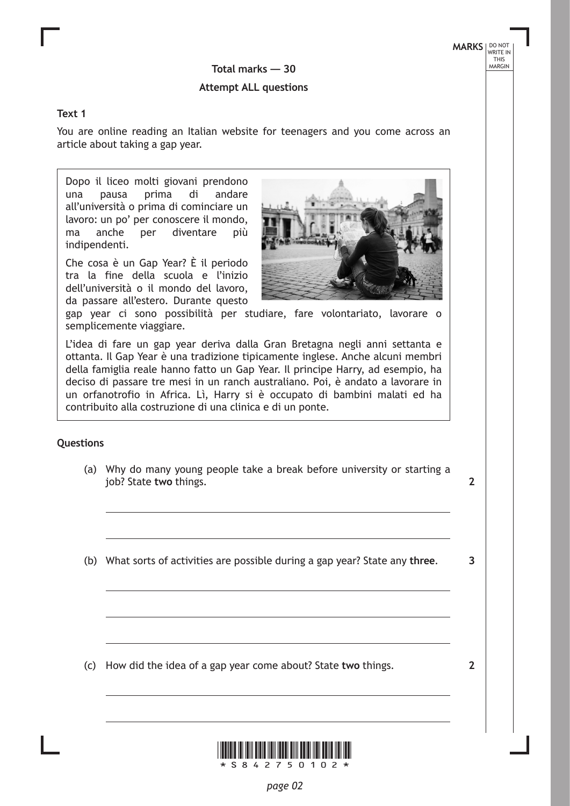**MARKS** NO NOT THIS<br>THIS<br>MARGIN

# Total marks — 30

#### **Attempt ALL questions**

#### **Text 1**

You are online reading an Italian website for teenagers and you come across an article about taking a gap year.

Dopo il liceo molti giovani prendono una pausa prima di andare all'università o prima di cominciare un lavoro: un po' per conoscere il mondo, ma anche per diventare più indipendenti.

Che cosa è un Gap Year? È il periodo tra la fine della scuola e l'inizio dell'università o il mondo del lavoro, da passare all'estero. Durante questo



gap year ci sono possibilità per studiare, fare volontariato, lavorare o semplicemente viaggiare.

L'idea di fare un gap year deriva dalla Gran Bretagna negli anni settanta e ottanta. Il Gap Year è una tradizione tipicamente inglese. Anche alcuni membri della famiglia reale hanno fatto un Gap Year. Il principe Harry, ad esempio, ha deciso di passare tre mesi in un ranch australiano. Poi, è andato a lavorare in un orfanotrofio in Africa. Lì, Harry si è occupato di bambini malati ed ha contribuito alla costruzione di una clinica e di un ponte.

#### **Questions**

(a) Why do many young people take a break before university or starting a job? State **two** things.

**2**

**3**

**2**

(b) What sorts of activities are possible during a gap year? State any **three**.

(c) How did the idea of a gap year come about? State **two** things.

\*S842750102\*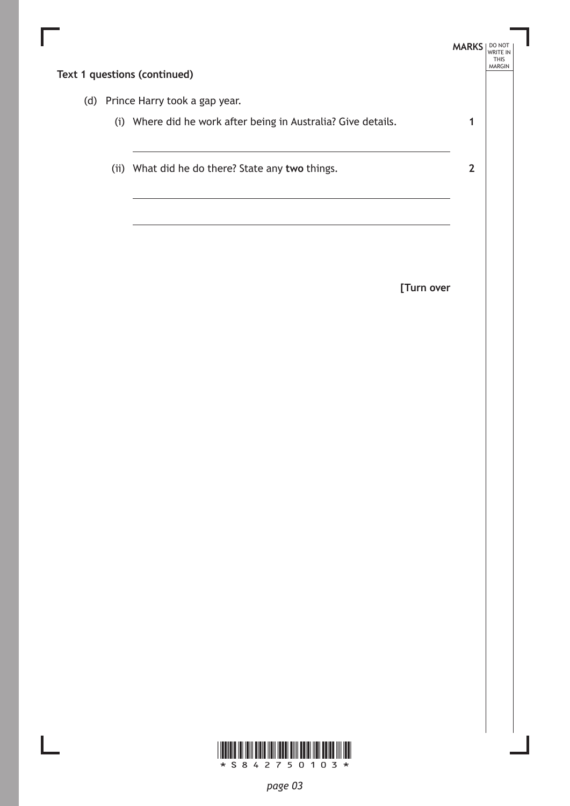| (d) Prince Harry took a gap year.                             |                |
|---------------------------------------------------------------|----------------|
| (i) Where did he work after being in Australia? Give details. | 1              |
| (ii) What did he do there? State any two things.              | $\overline{2}$ |
|                                                               |                |
|                                                               |                |
| [Turn over                                                    |                |
|                                                               |                |
|                                                               |                |
|                                                               |                |
|                                                               |                |



L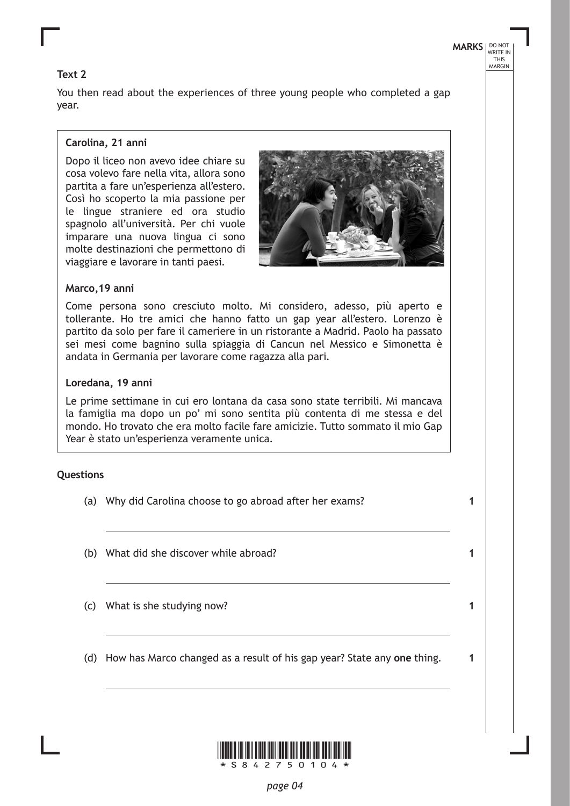#### **Text 2**

You then read about the experiences of three young people who completed a gap year.

#### **Carolina, 21 anni**

Dopo il liceo non avevo idee chiare su cosa volevo fare nella vita, allora sono partita a fare un'esperienza all'estero. Così ho scoperto la mia passione per le lingue straniere ed ora studio spagnolo all'università. Per chi vuole imparare una nuova lingua ci sono molte destinazioni che permettono di viaggiare e lavorare in tanti paesi.



**MARKS** NO NOT

**1**

**1**

**1**

**1**

THIS MARGIN

#### **Marco,19 anni**

Come persona sono cresciuto molto. Mi considero, adesso, più aperto e tollerante. Ho tre amici che hanno fatto un gap year all'estero. Lorenzo è partito da solo per fare il cameriere in un ristorante a Madrid. Paolo ha passato sei mesi come bagnino sulla spiaggia di Cancun nel Messico e Simonetta è andata in Germania per lavorare come ragazza alla pari.

#### **Loredana, 19 anni**

Le prime settimane in cui ero lontana da casa sono state terribili. Mi mancava la famiglia ma dopo un po' mi sono sentita più contenta di me stessa e del mondo. Ho trovato che era molto facile fare amicizie. Tutto sommato il mio Gap Year è stato un'esperienza veramente unica.

#### **Questions**

- (a) Why did Carolina choose to go abroad after her exams?
- (b) What did she discover while abroad?
- (c) What is she studying now?
- (d) How has Marco changed as a result of his gap year? State any **one** thing.

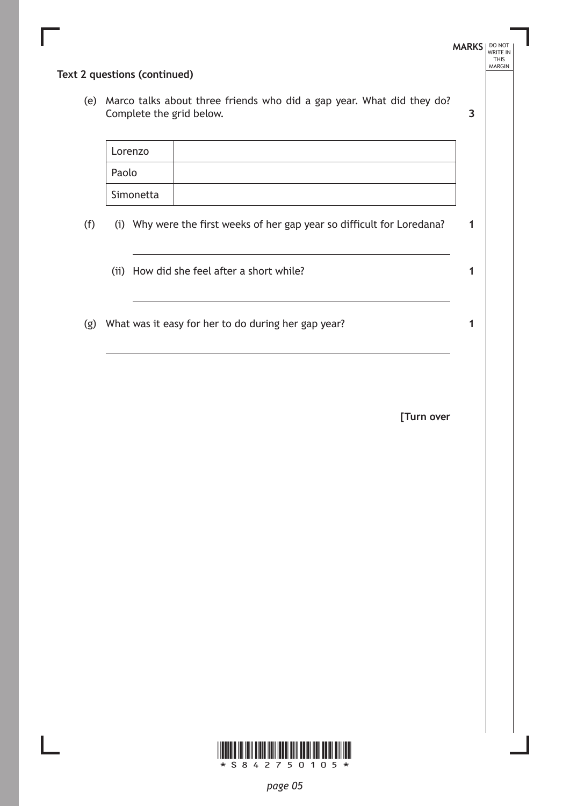|     | Text 2 questions (continued)                                                                          | <b>MARKS</b> | DO NOT<br>WRITE IN<br><b>THIS</b><br>MARGIN |
|-----|-------------------------------------------------------------------------------------------------------|--------------|---------------------------------------------|
|     | (e) Marco talks about three friends who did a gap year. What did they do?<br>Complete the grid below. | 3            |                                             |
|     | Lorenzo                                                                                               |              |                                             |
|     | Paolo                                                                                                 |              |                                             |
|     | Simonetta                                                                                             |              |                                             |
| (f) | (i) Why were the first weeks of her gap year so difficult for Loredana?                               | 1            |                                             |
|     | (ii) How did she feel after a short while?                                                            | 1            |                                             |
|     | (g) What was it easy for her to do during her gap year?                                               | 1            |                                             |
|     |                                                                                                       |              |                                             |
|     | [Turn over                                                                                            |              |                                             |
|     |                                                                                                       |              |                                             |
|     |                                                                                                       |              |                                             |
|     |                                                                                                       |              |                                             |
|     |                                                                                                       |              |                                             |
|     |                                                                                                       |              |                                             |
|     |                                                                                                       |              |                                             |
|     |                                                                                                       |              |                                             |
|     |                                                                                                       |              |                                             |
|     |                                                                                                       |              |                                             |
|     |                                                                                                       |              |                                             |
|     | * S 8 4 2 7<br>$50105*$                                                                               |              |                                             |

 $\Box$ 

*page 05*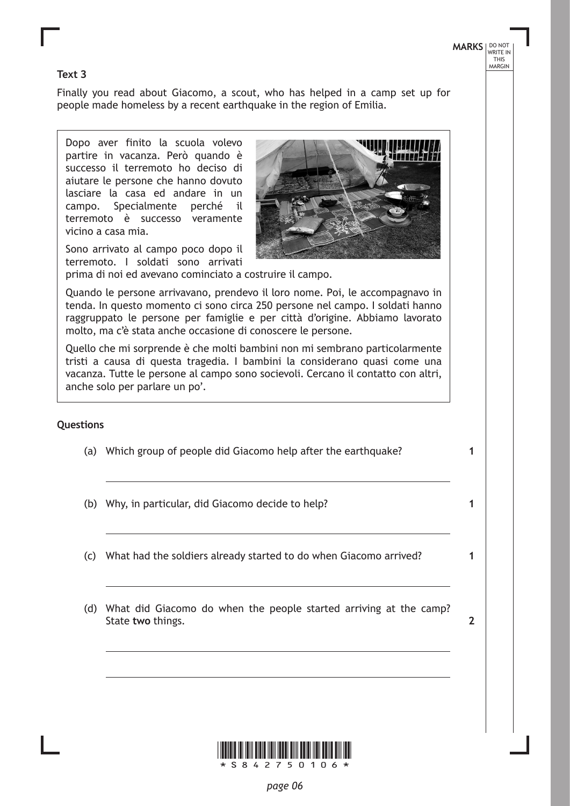### **MARKS** NO NOT THIS MARGIN

#### **Text 3**

Finally you read about Giacomo, a scout, who has helped in a camp set up for people made homeless by a recent earthquake in the region of Emilia.

Dopo aver finito la scuola volevo partire in vacanza. Però quando è successo il terremoto ho deciso di aiutare le persone che hanno dovuto lasciare la casa ed andare in un campo. Specialmente perché il terremoto è successo veramente vicino a casa mia.

Sono arrivato al campo poco dopo il terremoto. I soldati sono arrivati



Quando le persone arrivavano, prendevo il loro nome. Poi, le accompagnavo in tenda. In questo momento ci sono circa 250 persone nel campo. I soldati hanno raggruppato le persone per famiglie e per città d'origine. Abbiamo lavorato molto, ma c'è stata anche occasione di conoscere le persone.

Quello che mi sorprende è che molti bambini non mi sembrano particolarmente tristi a causa di questa tragedia. I bambini la considerano quasi come una vacanza. Tutte le persone al campo sono socievoli. Cercano il contatto con altri, anche solo per parlare un po'.

#### **Questions**

- (a) Which group of people did Giacomo help after the earthquake?
- (b) Why, in particular, did Giacomo decide to help?
- (c) What had the soldiers already started to do when Giacomo arrived?
- (d) What did Giacomo do when the people started arriving at the camp? State **two** things.





**1**

**2**

**1**

**1**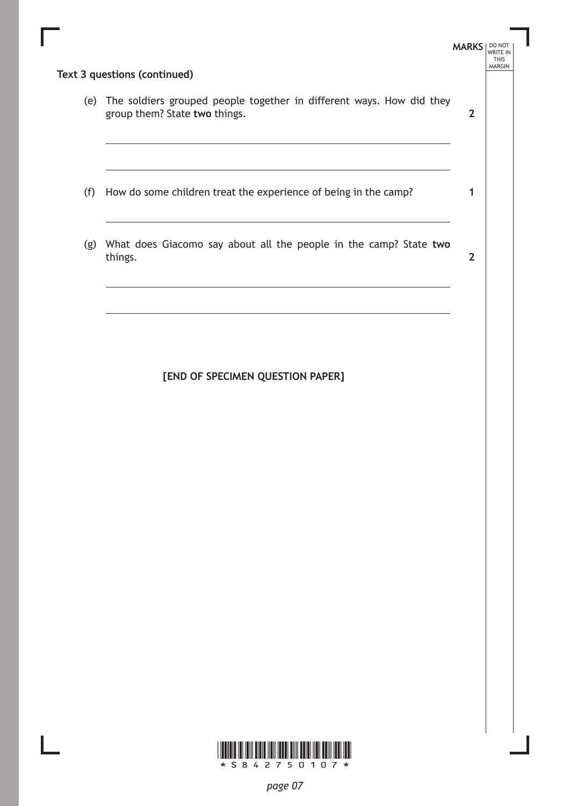|     | (e) The soldiers grouped people together in different ways. How did they<br>group them? State two things. | 2            |
|-----|-----------------------------------------------------------------------------------------------------------|--------------|
|     |                                                                                                           |              |
| (f) | How do some children treat the experience of being in the camp?                                           | 1            |
| (g) | What does Giacomo say about all the people in the camp? State two<br>things.                              | $\mathbf{2}$ |
|     |                                                                                                           |              |

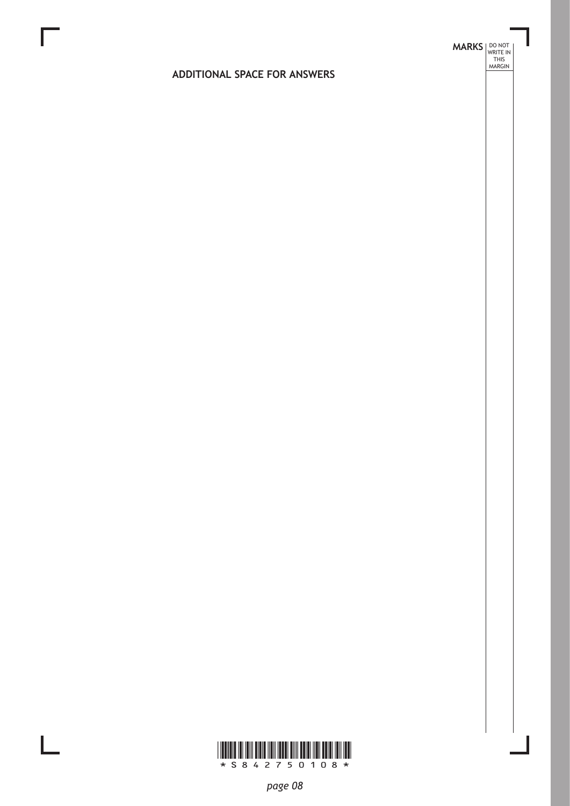# **MARKS DO NOT
WRITE IN** <br>
THIS
MARGIN

#### **ADDITIONAL SPACE FOR ANSWERS**



 $\mathbb{R}^{\mathbb{Z}}$ 

*page 08*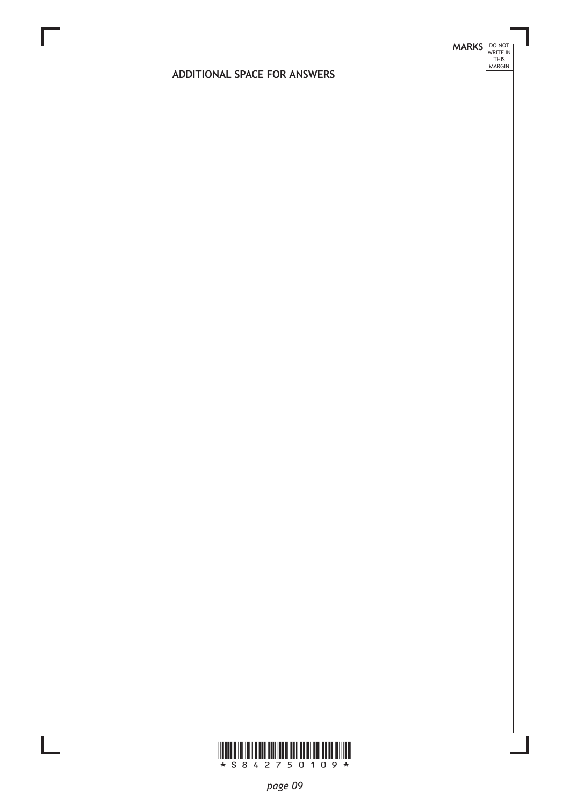# **MARKS DO NOT
WRITE IN** <br>
THIS
MARGIN

#### **ADDITIONAL SPACE FOR ANSWERS**



 $\mathbf{L}$ 

*page 09*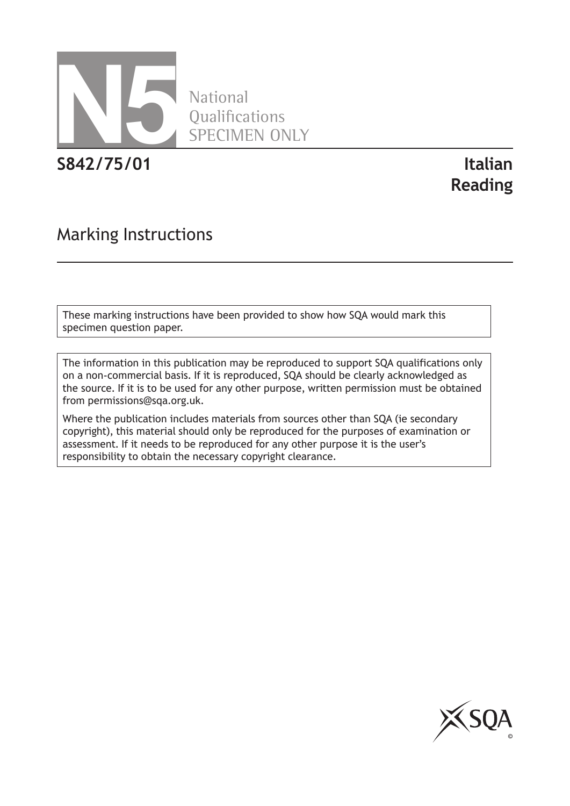

National **Oualifications** SPECIMEN ONLY

**S842/75/01 Italian**

**Reading**

## Marking Instructions

These marking instructions have been provided to show how SQA would mark this specimen question paper.

The information in this publication may be reproduced to support SQA qualifications only on a non-commercial basis. If it is reproduced, SQA should be clearly acknowledged as the source. If it is to be used for any other purpose, written permission must be obtained from permissions@sqa.org.uk.

Where the publication includes materials from sources other than SQA (ie secondary copyright), this material should only be reproduced for the purposes of examination or assessment. If it needs to be reproduced for any other purpose it is the user's responsibility to obtain the necessary copyright clearance.

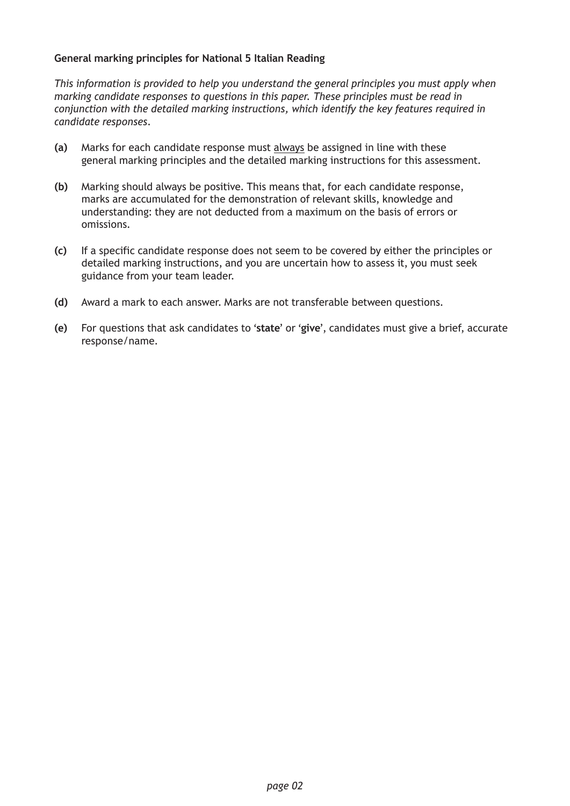#### **General marking principles for National 5 Italian Reading**

*This information is provided to help you understand the general principles you must apply when marking candidate responses to questions in this paper. These principles must be read in conjunction with the detailed marking instructions, which identify the key features required in candidate responses.*

- **(a)** Marks for each candidate response must always be assigned in line with these general marking principles and the detailed marking instructions for this assessment.
- **(b)** Marking should always be positive. This means that, for each candidate response, marks are accumulated for the demonstration of relevant skills, knowledge and understanding: they are not deducted from a maximum on the basis of errors or omissions.
- **(c)** If a specific candidate response does not seem to be covered by either the principles or detailed marking instructions, and you are uncertain how to assess it, you must seek guidance from your team leader.
- **(d)** Award a mark to each answer. Marks are not transferable between questions.
- **(e)** For questions that ask candidates to '**state**' or '**give**', candidates must give a brief, accurate response/name.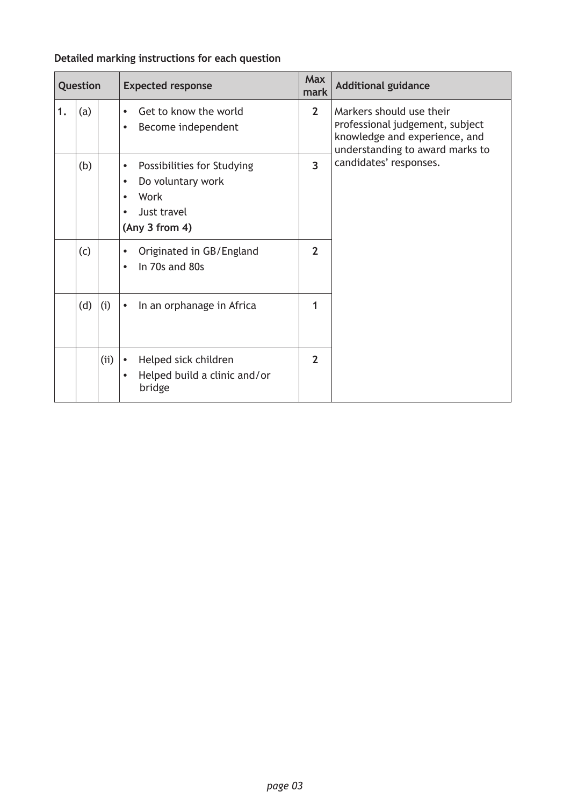#### **Detailed marking instructions for each question**

| Question |            |     | <b>Expected response</b>                                                                                                        | <b>Max</b><br>mark | <b>Additional guidance</b>                                                                                                      |
|----------|------------|-----|---------------------------------------------------------------------------------------------------------------------------------|--------------------|---------------------------------------------------------------------------------------------------------------------------------|
| 1.       | (a)<br>(b) |     | Get to know the world<br>$\bullet$<br>Become independent<br>$\bullet$                                                           | $\overline{2}$     | Markers should use their<br>Professional judgement, subject<br>knowledge and experience, and<br>understanding to award marks to |
|          |            |     | Possibilities for Studying<br>$\bullet$<br>Do voluntary work<br>$\bullet$<br>Work<br>Just travel<br>$\bullet$<br>(Any 3 from 4) | $\overline{3}$     | candidates' responses.                                                                                                          |
|          | (c)        |     | Originated in GB/England<br>$\bullet$<br>In 70s and 80s<br>$\bullet$                                                            | $\overline{2}$     |                                                                                                                                 |
|          | (d)        | (i) | In an orphanage in Africa<br>$\bullet$                                                                                          | 1                  |                                                                                                                                 |
|          |            | (i) | Helped sick children<br>$\bullet$<br>Helped build a clinic and/or<br>$\bullet$<br>bridge                                        | $\overline{2}$     |                                                                                                                                 |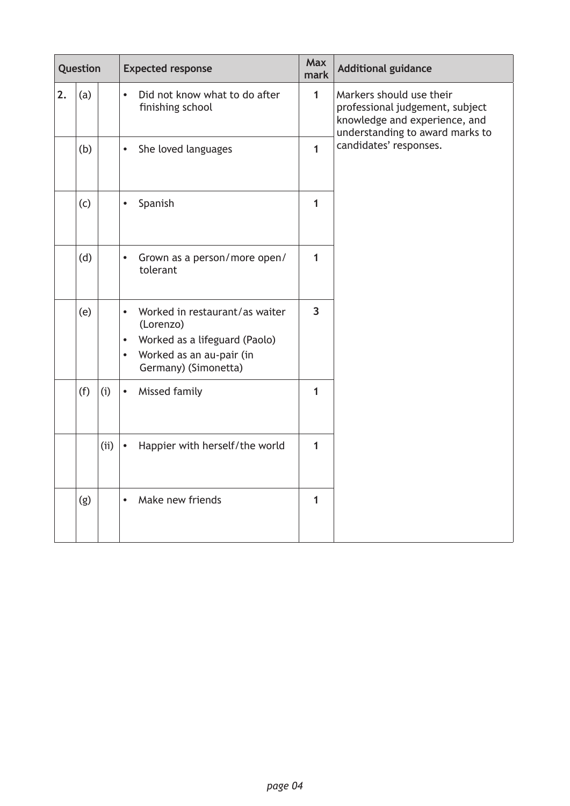|    | Question |      | <b>Expected response</b>                                                                                                                                                |                | <b>Additional guidance</b>                                                                                                      |  |
|----|----------|------|-------------------------------------------------------------------------------------------------------------------------------------------------------------------------|----------------|---------------------------------------------------------------------------------------------------------------------------------|--|
| 2. | (a)      |      | Did not know what to do after<br>$\bullet$<br>finishing school                                                                                                          | $\mathbf{1}$   | Markers should use their<br>professional judgement, subject<br>knowledge and experience, and<br>understanding to award marks to |  |
|    | (b)      |      | She loved languages<br>$\bullet$                                                                                                                                        | $\mathbf{1}$   | candidates' responses.                                                                                                          |  |
|    | (c)      |      | Spanish<br>$\bullet$                                                                                                                                                    | 1              |                                                                                                                                 |  |
|    | (d)      |      | Grown as a person/more open/<br>$\bullet$<br>tolerant                                                                                                                   | $\mathbf{1}$   |                                                                                                                                 |  |
|    | (e)      |      | Worked in restaurant/as waiter<br>$\bullet$<br>(Lorenzo)<br>Worked as a lifeguard (Paolo)<br>$\bullet$<br>Worked as an au-pair (in<br>$\bullet$<br>Germany) (Simonetta) | $\overline{3}$ |                                                                                                                                 |  |
|    | (f)      | (i)  | Missed family<br>$\bullet$                                                                                                                                              | 1              |                                                                                                                                 |  |
|    |          | (ii) | Happier with herself/the world<br>$\bullet$                                                                                                                             | $\mathbf{1}$   |                                                                                                                                 |  |
|    | (g)      |      | Make new friends<br>$\bullet$                                                                                                                                           | 1              |                                                                                                                                 |  |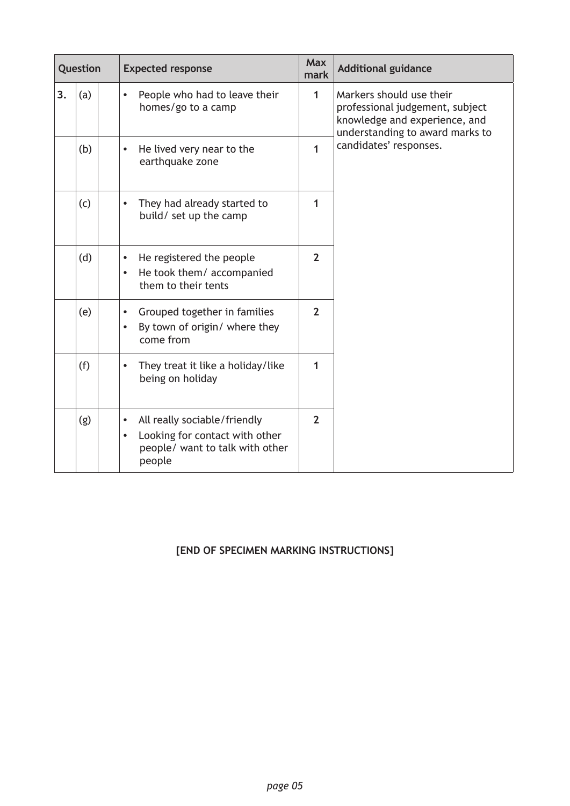| Question |     | <b>Expected response</b>                                                                                                              | <b>Max</b><br>mark | <b>Additional guidance</b>                                                                                                      |  |
|----------|-----|---------------------------------------------------------------------------------------------------------------------------------------|--------------------|---------------------------------------------------------------------------------------------------------------------------------|--|
| 3.       | (a) | People who had to leave their<br>$\bullet$<br>homes/go to a camp                                                                      | $\mathbf 1$        | Markers should use their<br>professional judgement, subject<br>knowledge and experience, and<br>understanding to award marks to |  |
|          | (b) | He lived very near to the<br>$\bullet$<br>earthquake zone                                                                             | 1                  | candidates' responses.                                                                                                          |  |
|          | (c) | They had already started to<br>build/ set up the camp                                                                                 | 1                  |                                                                                                                                 |  |
|          | (d) | He registered the people<br>$\bullet$<br>He took them/ accompanied<br>$\bullet$<br>them to their tents                                | $\overline{2}$     |                                                                                                                                 |  |
|          | (e) | Grouped together in families<br>$\bullet$<br>By town of origin/ where they<br>$\bullet$<br>come from                                  | $\overline{2}$     |                                                                                                                                 |  |
|          | (f) | They treat it like a holiday/like<br>being on holiday                                                                                 | 1                  |                                                                                                                                 |  |
|          | (g) | All really sociable/friendly<br>$\bullet$<br>Looking for contact with other<br>$\bullet$<br>people/ want to talk with other<br>people | $\overline{2}$     |                                                                                                                                 |  |

#### **[END OF SPECIMEN MARKING INSTRUCTIONS]**